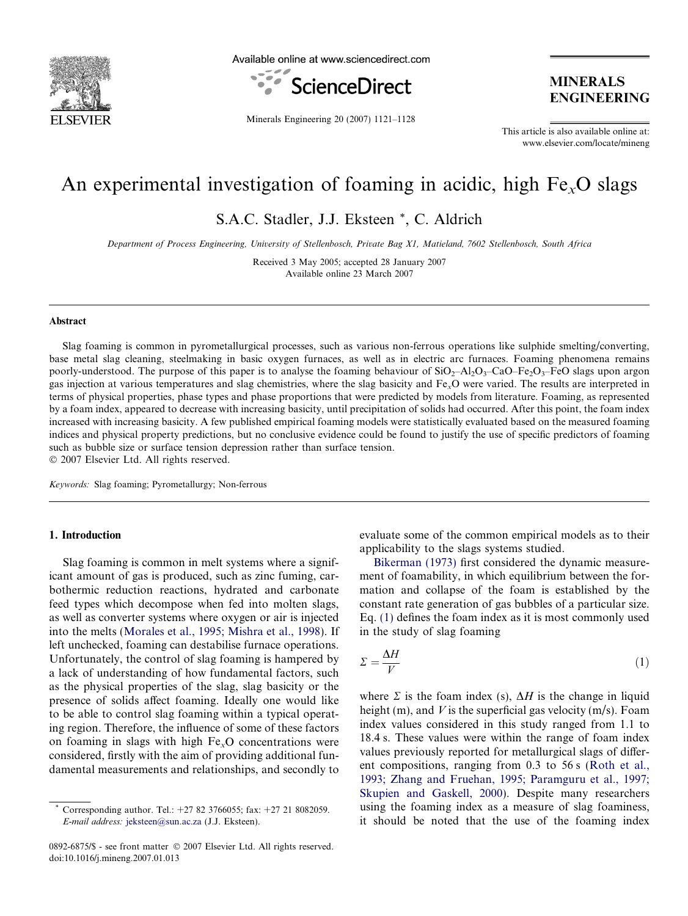

Available online at www.sciencedirect.com



Minerals Engineering 20 (2007) 1121–1128

**MINERALS ENGINEERING** 

This article is also available online at: www.elsevier.com/locate/mineng

# An experimental investigation of foaming in acidic, high  $Fe<sub>x</sub>O$  slags

S.A.C. Stadler, J.J. Eksteen \*, C. Aldrich

Department of Process Engineering, University of Stellenbosch, Private Bag X1, Matieland, 7602 Stellenbosch, South Africa

Received 3 May 2005; accepted 28 January 2007 Available online 23 March 2007

#### Abstract

Slag foaming is common in pyrometallurgical processes, such as various non-ferrous operations like sulphide smelting/converting, base metal slag cleaning, steelmaking in basic oxygen furnaces, as well as in electric arc furnaces. Foaming phenomena remains poorly-understood. The purpose of this paper is to analyse the foaming behaviour of  $SiO_2-Al_2O_3-CaO-Fe_2O_3-FeO$  slags upon argon gas injection at various temperatures and slag chemistries, where the slag basicity and FexO were varied. The results are interpreted in terms of physical properties, phase types and phase proportions that were predicted by models from literature. Foaming, as represented by a foam index, appeared to decrease with increasing basicity, until precipitation of solids had occurred. After this point, the foam index increased with increasing basicity. A few published empirical foaming models were statistically evaluated based on the measured foaming indices and physical property predictions, but no conclusive evidence could be found to justify the use of specific predictors of foaming such as bubble size or surface tension depression rather than surface tension.  $© 2007 Elsevier Ltd. All rights reserved.$ 

Keywords: Slag foaming; Pyrometallurgy; Non-ferrous

## 1. Introduction

Slag foaming is common in melt systems where a significant amount of gas is produced, such as zinc fuming, carbothermic reduction reactions, hydrated and carbonate feed types which decompose when fed into molten slags, as well as converter systems where oxygen or air is injected into the melts [\(Morales et al., 1995; Mishra et al., 1998\)](#page-7-0). If left unchecked, foaming can destabilise furnace operations. Unfortunately, the control of slag foaming is hampered by a lack of understanding of how fundamental factors, such as the physical properties of the slag, slag basicity or the presence of solids affect foaming. Ideally one would like to be able to control slag foaming within a typical operating region. Therefore, the influence of some of these factors on foaming in slags with high  $Fe<sub>x</sub>O$  concentrations were considered, firstly with the aim of providing additional fundamental measurements and relationships, and secondly to

evaluate some of the common empirical models as to their applicability to the slags systems studied.

[Bikerman \(1973\)](#page-7-0) first considered the dynamic measurement of foamability, in which equilibrium between the formation and collapse of the foam is established by the constant rate generation of gas bubbles of a particular size. Eq. (1) defines the foam index as it is most commonly used in the study of slag foaming

$$
\Sigma = \frac{\Delta H}{V} \tag{1}
$$

where  $\Sigma$  is the foam index (s),  $\Delta H$  is the change in liquid height (m), and V is the superficial gas velocity  $(m/s)$ . Foam index values considered in this study ranged from 1.1 to 18.4 s. These values were within the range of foam index values previously reported for metallurgical slags of different compositions, ranging from 0.3 to 56 s ([Roth et al.,](#page-7-0) [1993; Zhang and Fruehan, 1995; Paramguru et al., 1997;](#page-7-0) [Skupien and Gaskell, 2000](#page-7-0)). Despite many researchers using the foaming index as a measure of slag foaminess, it should be noted that the use of the foaming index

Corresponding author. Tel.:  $+27$  82 3766055; fax:  $+27$  21 8082059. E-mail address: [jeksteen@sun.ac.za](mailto:jeksteen@sun.ac.za) (J.J. Eksteen).

<sup>0892-6875/\$ -</sup> see front matter © 2007 Elsevier Ltd. All rights reserved. doi:10.1016/j.mineng.2007.01.013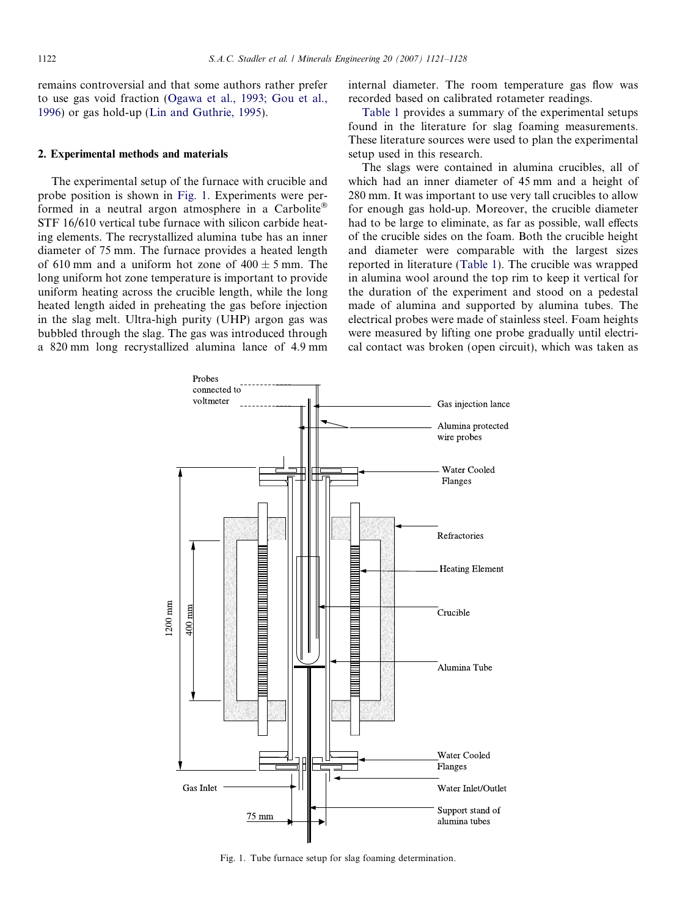<span id="page-1-0"></span>remains controversial and that some authors rather prefer to use gas void fraction [\(Ogawa et al., 1993; Gou et al.,](#page-7-0) [1996\)](#page-7-0) or gas hold-up [\(Lin and Guthrie, 1995](#page-7-0)).

## 2. Experimental methods and materials

The experimental setup of the furnace with crucible and probe position is shown in Fig. 1. Experiments were performed in a neutral argon atmosphere in a Carbolite STF 16/610 vertical tube furnace with silicon carbide heating elements. The recrystallized alumina tube has an inner diameter of 75 mm. The furnace provides a heated length of 610 mm and a uniform hot zone of  $400 \pm 5$  mm. The long uniform hot zone temperature is important to provide uniform heating across the crucible length, while the long heated length aided in preheating the gas before injection in the slag melt. Ultra-high purity (UHP) argon gas was bubbled through the slag. The gas was introduced through a 820 mm long recrystallized alumina lance of 4.9 mm internal diameter. The room temperature gas flow was recorded based on calibrated rotameter readings.

[Table 1](#page-2-0) provides a summary of the experimental setups found in the literature for slag foaming measurements. These literature sources were used to plan the experimental setup used in this research.

The slags were contained in alumina crucibles, all of which had an inner diameter of 45 mm and a height of 280 mm. It was important to use very tall crucibles to allow for enough gas hold-up. Moreover, the crucible diameter had to be large to eliminate, as far as possible, wall effects of the crucible sides on the foam. Both the crucible height and diameter were comparable with the largest sizes reported in literature [\(Table 1\)](#page-2-0). The crucible was wrapped in alumina wool around the top rim to keep it vertical for the duration of the experiment and stood on a pedestal made of alumina and supported by alumina tubes. The electrical probes were made of stainless steel. Foam heights were measured by lifting one probe gradually until electrical contact was broken (open circuit), which was taken as



Fig. 1. Tube furnace setup for slag foaming determination.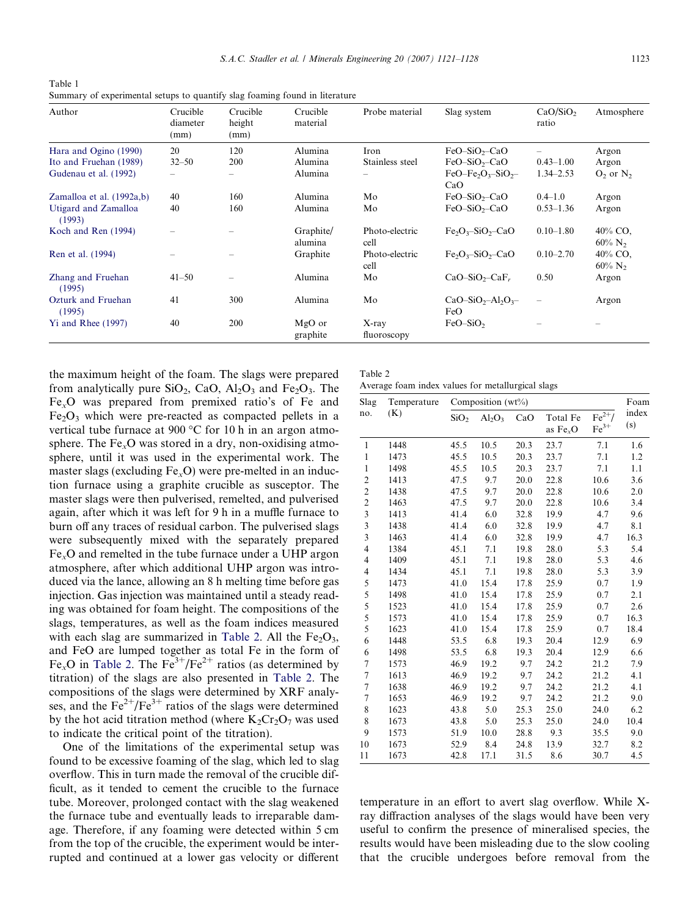<span id="page-2-0"></span>Table 1 Summary of experimental setups to quantify slag foaming found in literature

| Author                         | Crucible<br>diameter<br>(mm) | Crucible<br>height<br>(mm) | Crucible<br>material | Probe material           | Slag system             | CaO/SiO <sub>2</sub><br>ratio | Atmosphere                       |
|--------------------------------|------------------------------|----------------------------|----------------------|--------------------------|-------------------------|-------------------------------|----------------------------------|
| Hara and Ogino (1990)          | 20                           | 120                        | Alumina              | Iron                     | $FeO-SiO2-CaO$          |                               | Argon                            |
| Ito and Fruehan (1989)         | $32 - 50$                    | 200                        | Alumina              | Stainless steel          | $FeO-SiO2-CaO$          | $0.43 - 1.00$                 | Argon                            |
| Gudenau et al. (1992)          |                              | $\qquad \qquad$            | Alumina              | $\overline{\phantom{0}}$ | $FeO-Fe2O3-SiO2$<br>CaO | $1.34 - 2.53$                 | $O2$ or $N2$                     |
| Zamalloa et al. (1992a,b)      | 40                           | 160                        | Alumina              | Mo                       | $FeO-SiO2-CaO$          | $0.4 - 1.0$                   | Argon                            |
| Utigard and Zamalloa<br>(1993) | 40                           | 160                        | Alumina              | Mo                       | $FeO-SiO2-CaO$          | $0.53 - 1.36$                 | Argon                            |
| Koch and Ren (1994)            |                              |                            | Graphite/<br>alumina | Photo-electric<br>cell   | $Fe_2O_3-SiO_2-CaO$     | $0.10 - 1.80$                 | 40% CO.<br>$60\%$ N <sub>2</sub> |
| Ren et al. (1994)              |                              |                            | Graphite             | Photo-electric<br>cell   | $Fe_2O_3-SiO_2-CaO$     | $0.10 - 2.70$                 | 40% CO.<br>$60\%$ N <sub>2</sub> |
| Zhang and Fruehan<br>(1995)    | $41 - 50$                    |                            | Alumina              | Mo                       | $CaO-SiO2-CaFr$         | 0.50                          | Argon                            |
| Ozturk and Fruehan<br>(1995)   | 41                           | 300                        | Alumina              | Mo                       | $CaO-SiO2-Al2O3$<br>FeO |                               | Argon                            |
| $Yi$ and Rhee $(1997)$         | 40                           | 200                        | MgO or<br>graphite   | $X$ -ray<br>fluoroscopy  | $FeO-SiO2$              |                               |                                  |

Table 2

the maximum height of the foam. The slags were prepared from analytically pure  $SiO_2$ , CaO,  $Al_2O_3$  and Fe<sub>2</sub>O<sub>3</sub>. The  $Fe<sub>x</sub>O$  was prepared from premixed ratio's of Fe and  $Fe<sub>2</sub>O<sub>3</sub>$  which were pre-reacted as compacted pellets in a vertical tube furnace at 900  $\degree$ C for 10 h in an argon atmosphere. The  $Fe<sub>x</sub>O$  was stored in a dry, non-oxidising atmosphere, until it was used in the experimental work. The master slags (excluding  $Fe<sub>x</sub>O$ ) were pre-melted in an induction furnace using a graphite crucible as susceptor. The master slags were then pulverised, remelted, and pulverised again, after which it was left for 9 h in a muffle furnace to burn off any traces of residual carbon. The pulverised slags were subsequently mixed with the separately prepared FexO and remelted in the tube furnace under a UHP argon atmosphere, after which additional UHP argon was introduced via the lance, allowing an 8 h melting time before gas injection. Gas injection was maintained until a steady reading was obtained for foam height. The compositions of the slags, temperatures, as well as the foam indices measured with each slag are summarized in Table 2. All the  $Fe<sub>2</sub>O<sub>3</sub>$ , and FeO are lumped together as total Fe in the form of Fe<sub>x</sub>O in Table 2. The Fe<sup>3+</sup>/Fe<sup>2+</sup> ratios (as determined by titration) of the slags are also presented in Table 2. The compositions of the slags were determined by XRF analyses, and the  $Fe^{2+}/Fe^{3+}$  ratios of the slags were determined by the hot acid titration method (where  $K_2Cr_2O_7$  was used to indicate the critical point of the titration).

One of the limitations of the experimental setup was found to be excessive foaming of the slag, which led to slag overflow. This in turn made the removal of the crucible difficult, as it tended to cement the crucible to the furnace tube. Moreover, prolonged contact with the slag weakened the furnace tube and eventually leads to irreparable damage. Therefore, if any foaming were detected within 5 cm from the top of the crucible, the experiment would be interrupted and continued at a lower gas velocity or different

| ble 2 |  |                               |  |
|-------|--|-------------------------------|--|
|       |  | erage foam index values for m |  |

|  |  | Average foam index values for metallurgical slags |  |
|--|--|---------------------------------------------------|--|
|  |  |                                                   |  |

| Slag                    | Temperature | Composition (wt%) |           |      |                       |                               |              |
|-------------------------|-------------|-------------------|-----------|------|-----------------------|-------------------------------|--------------|
| no.                     | (K)         | SiO <sub>2</sub>  | $Al_2O_3$ | CaO  | Total Fe<br>as $FexO$ | $\mathrm{Fe}^{2+}/$<br>$Fe3+$ | index<br>(s) |
| $\mathbf{1}$            | 1448        | 45.5              | 10.5      | 20.3 | 23.7                  | 7.1                           | 1.6          |
| $\mathbf{1}$            | 1473        | 45.5              | 10.5      | 20.3 | 23.7                  | 7.1                           | 1.2          |
| $\mathbf{1}$            | 1498        | 45.5              | 10.5      | 20.3 | 23.7                  | 7.1                           | 1.1          |
| $\overline{\mathbf{c}}$ | 1413        | 47.5              | 9.7       | 20.0 | 22.8                  | 10.6                          | 3.6          |
| $\overline{c}$          | 1438        | 47.5              | 9.7       | 20.0 | 22.8                  | 10.6                          | 2.0          |
| $\overline{c}$          | 1463        | 47.5              | 9.7       | 20.0 | 22.8                  | 10.6                          | 3.4          |
| 3                       | 1413        | 41.4              | 6.0       | 32.8 | 19.9                  | 4.7                           | 9.6          |
| 3                       | 1438        | 41.4              | 6.0       | 32.8 | 19.9                  | 4.7                           | 8.1          |
| 3                       | 1463        | 41.4              | 6.0       | 32.8 | 19.9                  | 4.7                           | 16.3         |
| 4                       | 1384        | 45.1              | 7.1       | 19.8 | 28.0                  | 5.3                           | 5.4          |
| 4                       | 1409        | 45.1              | 7.1       | 19.8 | 28.0                  | 5.3                           | 4.6          |
| 4                       | 1434        | 45.1              | 7.1       | 19.8 | 28.0                  | 5.3                           | 3.9          |
| 5                       | 1473        | 41.0              | 15.4      | 17.8 | 25.9                  | 0.7                           | 1.9          |
| 5                       | 1498        | 41.0              | 15.4      | 17.8 | 25.9                  | 0.7                           | 2.1          |
| 5                       | 1523        | 41.0              | 15.4      | 17.8 | 25.9                  | 0.7                           | 2.6          |
| 5                       | 1573        | 41.0              | 15.4      | 17.8 | 25.9                  | 0.7                           | 16.3         |
| 5                       | 1623        | 41.0              | 15.4      | 17.8 | 25.9                  | 0.7                           | 18.4         |
| 6                       | 1448        | 53.5              | 6.8       | 19.3 | 20.4                  | 12.9                          | 6.9          |
| 6                       | 1498        | 53.5              | 6.8       | 19.3 | 20.4                  | 12.9                          | 6.6          |
| 7                       | 1573        | 46.9              | 19.2      | 9.7  | 24.2                  | 21.2                          | 7.9          |
| $\overline{7}$          | 1613        | 46.9              | 19.2      | 9.7  | 24.2                  | 21.2                          | 4.1          |
| $\overline{7}$          | 1638        | 46.9              | 19.2      | 9.7  | 24.2                  | 21.2                          | 4.1          |
| $\overline{7}$          | 1653        | 46.9              | 19.2      | 9.7  | 24.2                  | 21.2                          | 9.0          |
| 8                       | 1623        | 43.8              | 5.0       | 25.3 | 25.0                  | 24.0                          | 6.2          |
| 8                       | 1673        | 43.8              | 5.0       | 25.3 | 25.0                  | 24.0                          | 10.4         |
| 9                       | 1573        | 51.9              | 10.0      | 28.8 | 9.3                   | 35.5                          | 9.0          |
| 10                      | 1673        | 52.9              | 8.4       | 24.8 | 13.9                  | 32.7                          | 8.2          |
| 11                      | 1673        | 42.8              | 17.1      | 31.5 | 8.6                   | 30.7                          | 4.5          |

temperature in an effort to avert slag overflow. While Xray diffraction analyses of the slags would have been very useful to confirm the presence of mineralised species, the results would have been misleading due to the slow cooling that the crucible undergoes before removal from the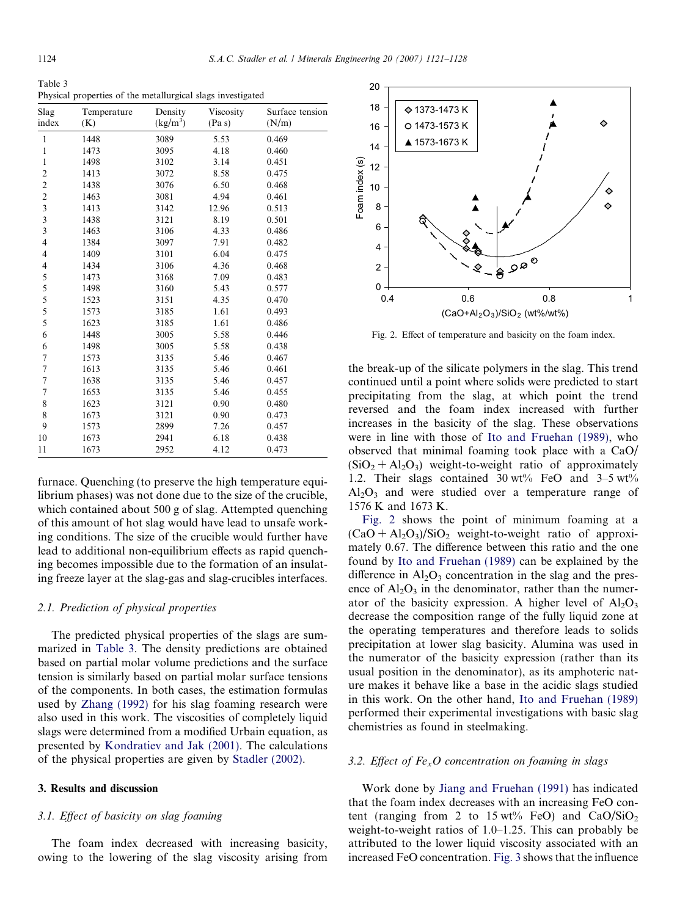Table 3 Physical properties of the metallurgical slags investigated

| Slag                     | Temperature | Density              | Viscosity | Surface tension |
|--------------------------|-------------|----------------------|-----------|-----------------|
| index                    | (K)         | (kg/m <sup>3</sup> ) | (Pa s)    | (N/m)           |
| $\,1$                    | 1448        | 3089                 | 5.53      | 0.469           |
| $\mathbf{1}$             | 1473        | 3095                 | 4.18      | 0.460           |
| $\mathbf{1}$             | 1498        | 3102                 | 3.14      | 0.451           |
|                          | 1413        | 3072                 | 8.58      | 0.475           |
| $\frac{2}{2}$            | 1438        | 3076                 | 6.50      | 0.468           |
| $\overline{c}$           | 1463        | 3081                 | 4.94      | 0.461           |
| $\frac{3}{3}$            | 1413        | 3142                 | 12.96     | 0.513           |
|                          | 1438        | 3121                 | 8.19      | 0.501           |
| $\overline{\mathbf{3}}$  | 1463        | 3106                 | 4.33      | 0.486           |
| $\overline{\mathbf{4}}$  | 1384        | 3097                 | 7.91      | 0.482           |
| $\overline{\mathbf{4}}$  | 1409        | 3101                 | 6.04      | 0.475           |
| $\overline{\mathcal{L}}$ | 1434        | 3106                 | 4.36      | 0.468           |
| 5                        | 1473        | 3168                 | 7.09      | 0.483           |
| 5                        | 1498        | 3160                 | 5.43      | 0.577           |
| 5                        | 1523        | 3151                 | 4.35      | 0.470           |
| 5                        | 1573        | 3185                 | 1.61      | 0.493           |
| 5                        | 1623        | 3185                 | 1.61      | 0.486           |
| 6                        | 1448        | 3005                 | 5.58      | 0.446           |
| 6                        | 1498        | 3005                 | 5.58      | 0.438           |
| $\boldsymbol{7}$         | 1573        | 3135                 | 5.46      | 0.467           |
| $\boldsymbol{7}$         | 1613        | 3135                 | 5.46      | 0.461           |
| $\overline{7}$           | 1638        | 3135                 | 5.46      | 0.457           |
| $\sqrt{ }$               | 1653        | 3135                 | 5.46      | 0.455           |
| 8                        | 1623        | 3121                 | 0.90      | 0.480           |
| 8                        | 1673        | 3121                 | 0.90      | 0.473           |
| 9                        | 1573        | 2899                 | 7.26      | 0.457           |
| 10                       | 1673        | 2941                 | 6.18      | 0.438           |
| 11                       | 1673        | 2952                 | 4.12      | 0.473           |

furnace. Quenching (to preserve the high temperature equilibrium phases) was not done due to the size of the crucible, which contained about 500 g of slag. Attempted quenching of this amount of hot slag would have lead to unsafe working conditions. The size of the crucible would further have lead to additional non-equilibrium effects as rapid quenching becomes impossible due to the formation of an insulating freeze layer at the slag-gas and slag-crucibles interfaces.

## 2.1. Prediction of physical properties

The predicted physical properties of the slags are summarized in Table 3. The density predictions are obtained based on partial molar volume predictions and the surface tension is similarly based on partial molar surface tensions of the components. In both cases, the estimation formulas used by [Zhang \(1992\)](#page-7-0) for his slag foaming research were also used in this work. The viscosities of completely liquid slags were determined from a modified Urbain equation, as presented by [Kondratiev and Jak \(2001\)](#page-7-0). The calculations of the physical properties are given by [Stadler \(2002\).](#page-7-0)

## 3. Results and discussion

## 3.1. Effect of basicity on slag foaming

The foam index decreased with increasing basicity, owing to the lowering of the slag viscosity arising from



Fig. 2. Effect of temperature and basicity on the foam index.

the break-up of the silicate polymers in the slag. This trend continued until a point where solids were predicted to start precipitating from the slag, at which point the trend reversed and the foam index increased with further increases in the basicity of the slag. These observations were in line with those of [Ito and Fruehan \(1989\)](#page-7-0), who observed that minimal foaming took place with a CaO/  $(SiO<sub>2</sub> + Al<sub>2</sub>O<sub>3</sub>)$  weight-to-weight ratio of approximately 1.2. Their slags contained  $30 \text{ wt}$ % FeO and  $3-5 \text{ wt}$ %  $Al<sub>2</sub>O<sub>3</sub>$  and were studied over a temperature range of 1576 K and 1673 K.

Fig. 2 shows the point of minimum foaming at a  $(CaO + Al<sub>2</sub>O<sub>3</sub>)/SiO<sub>2</sub>$  weight-to-weight ratio of approximately 0.67. The difference between this ratio and the one found by [Ito and Fruehan \(1989\)](#page-7-0) can be explained by the difference in  $Al_2O_3$  concentration in the slag and the presence of  $Al_2O_3$  in the denominator, rather than the numerator of the basicity expression. A higher level of  $Al_2O_3$ decrease the composition range of the fully liquid zone at the operating temperatures and therefore leads to solids precipitation at lower slag basicity. Alumina was used in the numerator of the basicity expression (rather than its usual position in the denominator), as its amphoteric nature makes it behave like a base in the acidic slags studied in this work. On the other hand, [Ito and Fruehan \(1989\)](#page-7-0) performed their experimental investigations with basic slag chemistries as found in steelmaking.

#### 3.2. Effect of  $Fe<sub>x</sub>O$  concentration on foaming in slags

Work done by [Jiang and Fruehan \(1991\)](#page-7-0) has indicated that the foam index decreases with an increasing FeO content (ranging from 2 to 15 wt% FeO) and  $CaO/SiO<sub>2</sub>$ weight-to-weight ratios of 1.0–1.25. This can probably be attributed to the lower liquid viscosity associated with an increased FeO concentration. [Fig. 3](#page-4-0) shows that the influence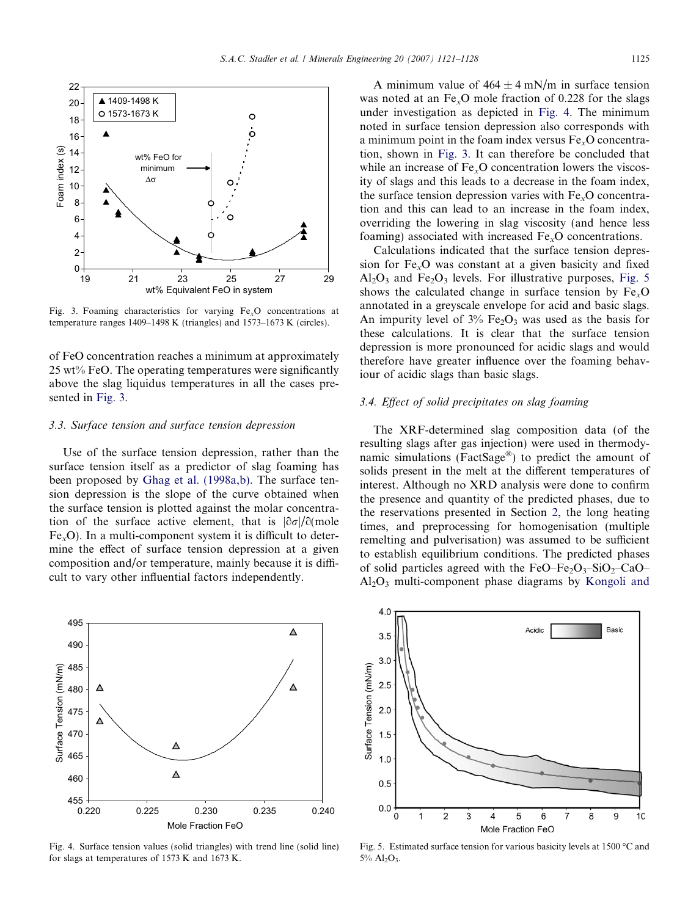<span id="page-4-0"></span>

Fig. 3. Foaming characteristics for varying  $Fe<sub>x</sub>O$  concentrations at temperature ranges 1409–1498 K (triangles) and 1573–1673 K (circles).

of FeO concentration reaches a minimum at approximately 25 wt% FeO. The operating temperatures were significantly above the slag liquidus temperatures in all the cases presented in Fig. 3.

# 3.3. Surface tension and surface tension depression

Use of the surface tension depression, rather than the surface tension itself as a predictor of slag foaming has been proposed by [Ghag et al. \(1998a,b\)](#page-7-0). The surface tension depression is the slope of the curve obtained when the surface tension is plotted against the molar concentration of the surface active element, that is  $|\partial \sigma|/\partial$  mole  $Fe<sub>x</sub>O$ ). In a multi-component system it is difficult to determine the effect of surface tension depression at a given composition and/or temperature, mainly because it is difficult to vary other influential factors independently.

A minimum value of  $464 \pm 4$  mN/m in surface tension was noted at an  $Fe<sub>x</sub>O$  mole fraction of 0.228 for the slags under investigation as depicted in Fig. 4. The minimum noted in surface tension depression also corresponds with a minimum point in the foam index versus FexO concentration, shown in Fig. 3. It can therefore be concluded that while an increase of  $Fe<sub>x</sub>O$  concentration lowers the viscosity of slags and this leads to a decrease in the foam index, the surface tension depression varies with  $Fe<sub>x</sub>O$  concentration and this can lead to an increase in the foam index, overriding the lowering in slag viscosity (and hence less foaming) associated with increased  $Fe<sub>x</sub>O$  concentrations.

Calculations indicated that the surface tension depression for  $Fe<sub>x</sub>O$  was constant at a given basicity and fixed  $Al_2O_3$  and  $Fe_2O_3$  levels. For illustrative purposes, Fig. 5 shows the calculated change in surface tension by  $Fe<sub>x</sub>O$ annotated in a greyscale envelope for acid and basic slags. An impurity level of  $3\%$  Fe<sub>2</sub>O<sub>3</sub> was used as the basis for these calculations. It is clear that the surface tension depression is more pronounced for acidic slags and would therefore have greater influence over the foaming behaviour of acidic slags than basic slags.

## 3.4. Effect of solid precipitates on slag foaming

The XRF-determined slag composition data (of the resulting slags after gas injection) were used in thermodynamic simulations (FactSage<sup>®</sup>) to predict the amount of solids present in the melt at the different temperatures of interest. Although no XRD analysis were done to confirm the presence and quantity of the predicted phases, due to the reservations presented in Section [2](#page-1-0), the long heating times, and preprocessing for homogenisation (multiple remelting and pulverisation) was assumed to be sufficient to establish equilibrium conditions. The predicted phases of solid particles agreed with the FeO–Fe<sub>2</sub>O<sub>3</sub>–SiO<sub>2</sub>–CaO–  $Al_2O_3$  multi-component phase diagrams by [Kongoli and](#page-7-0)



Fig. 4. Surface tension values (solid triangles) with trend line (solid line) for slags at temperatures of 1573 K and 1673 K.



Fig. 5. Estimated surface tension for various basicity levels at 1500  $\degree$ C and  $5\%$  Al<sub>2</sub>O<sub>3</sub>.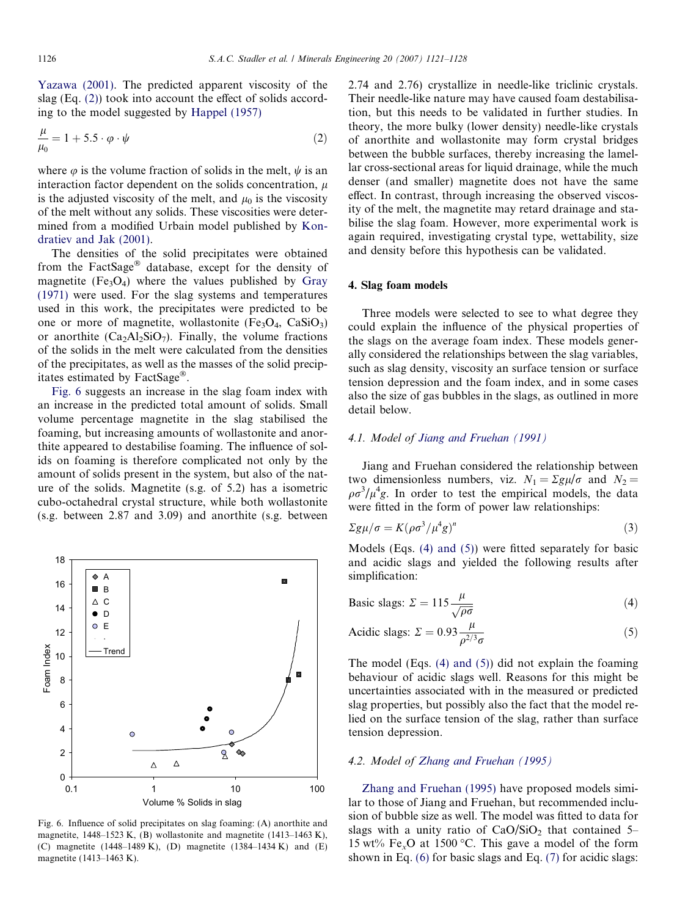[Yazawa \(2001\).](#page-7-0) The predicted apparent viscosity of the slag (Eq. (2)) took into account the effect of solids according to the model suggested by [Happel \(1957\)](#page-7-0)

$$
\frac{\mu}{\mu_0} = 1 + 5.5 \cdot \varphi \cdot \psi \tag{2}
$$

where  $\varphi$  is the volume fraction of solids in the melt,  $\psi$  is an interaction factor dependent on the solids concentration,  $\mu$ is the adjusted viscosity of the melt, and  $\mu_0$  is the viscosity of the melt without any solids. These viscosities were determined from a modified Urbain model published by [Kon](#page-7-0)[dratiev and Jak \(2001\).](#page-7-0)

The densities of the solid precipitates were obtained from the FactSage<sup>®</sup> database, except for the density of magnetite  $(Fe<sub>3</sub>O<sub>4</sub>)$  where the values published by [Gray](#page-7-0) [\(1971\)](#page-7-0) were used. For the slag systems and temperatures used in this work, the precipitates were predicted to be one or more of magnetite, wollastonite (Fe<sub>3</sub>O<sub>4</sub>, CaSiO<sub>3</sub>) or anorthite  $(Ca_2Al_2SiO_7)$ . Finally, the volume fractions of the solids in the melt were calculated from the densities of the precipitates, as well as the masses of the solid precipitates estimated by FactSage<sup>®</sup>.

Fig. 6 suggests an increase in the slag foam index with an increase in the predicted total amount of solids. Small volume percentage magnetite in the slag stabilised the foaming, but increasing amounts of wollastonite and anorthite appeared to destabilise foaming. The influence of solids on foaming is therefore complicated not only by the amount of solids present in the system, but also of the nature of the solids. Magnetite (s.g. of 5.2) has a isometric cubo-octahedral crystal structure, while both wollastonite (s.g. between 2.87 and 3.09) and anorthite (s.g. between



Fig. 6. Influence of solid precipitates on slag foaming: (A) anorthite and magnetite, 1448–1523 K, (B) wollastonite and magnetite (1413–1463 K), (C) magnetite (1448–1489 K), (D) magnetite (1384–1434 K) and (E) magnetite (1413–1463 K).

2.74 and 2.76) crystallize in needle-like triclinic crystals. Their needle-like nature may have caused foam destabilisation, but this needs to be validated in further studies. In theory, the more bulky (lower density) needle-like crystals of anorthite and wollastonite may form crystal bridges between the bubble surfaces, thereby increasing the lamellar cross-sectional areas for liquid drainage, while the much denser (and smaller) magnetite does not have the same effect. In contrast, through increasing the observed viscosity of the melt, the magnetite may retard drainage and stabilise the slag foam. However, more experimental work is again required, investigating crystal type, wettability, size and density before this hypothesis can be validated.

## 4. Slag foam models

Three models were selected to see to what degree they could explain the influence of the physical properties of the slags on the average foam index. These models generally considered the relationships between the slag variables, such as slag density, viscosity an surface tension or surface tension depression and the foam index, and in some cases also the size of gas bubbles in the slags, as outlined in more detail below.

#### 4.1. Model of [Jiang and Fruehan \(1991\)](#page-7-0)

Jiang and Fruehan considered the relationship between two dimensionless numbers, viz.  $N_1 = \Sigma g \mu / \sigma$  and  $N_2 =$  $\rho \sigma^3 / \mu^4 g$ . In order to test the empirical models, the data were fitted in the form of power law relationships:

$$
\Sigma g \mu / \sigma = K (\rho \sigma^3 / \mu^4 g)^n \tag{3}
$$

Models (Eqs. (4) and (5)) were fitted separately for basic and acidic slags and yielded the following results after simplification:

$$
\text{Basic slags: } \Sigma = 115 \frac{\mu}{\sqrt{\rho \sigma}} \tag{4}
$$

Acidic slags: 
$$
\Sigma = 0.93 \frac{\mu}{\rho^{2/3} \sigma}
$$
 (5)

The model (Eqs. (4) and (5)) did not explain the foaming behaviour of acidic slags well. Reasons for this might be uncertainties associated with in the measured or predicted slag properties, but possibly also the fact that the model relied on the surface tension of the slag, rather than surface tension depression.

#### 4.2. Model of [Zhang and Fruehan \(1995\)](#page-7-0)

[Zhang and Fruehan \(1995\)](#page-7-0) have proposed models similar to those of Jiang and Fruehan, but recommended inclusion of bubble size as well. The model was fitted to data for slags with a unity ratio of  $CaO/SiO<sub>2</sub>$  that contained 5– 15 wt% Fe<sub>x</sub>O at 1500 °C. This gave a model of the form shown in Eq. [\(6\)](#page-6-0) for basic slags and Eq. (7) for acidic slags: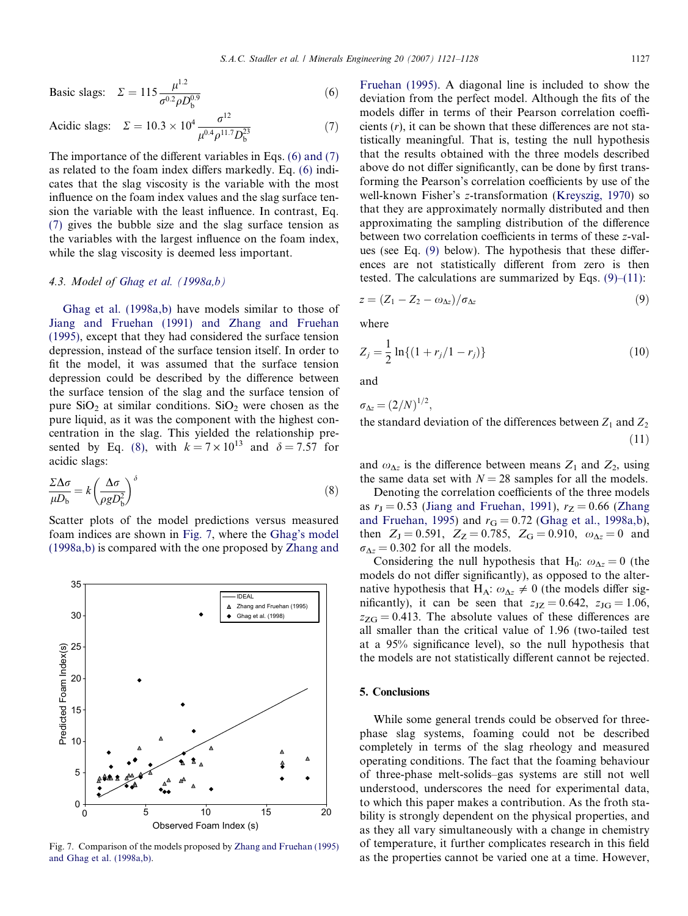<span id="page-6-0"></span>Basic slags: 
$$
\Sigma = 115 \frac{\mu^{1.2}}{\sigma^{0.2} \rho D_b^{0.9}}
$$
 (6)

Acidic slags: 
$$
\Sigma = 10.3 \times 10^4 \frac{\sigma^{12}}{\mu^{0.4} \rho^{11.7} D_b^{23}}
$$
 (7)

The importance of the different variables in Eqs. (6) and (7) as related to the foam index differs markedly. Eq. (6) indicates that the slag viscosity is the variable with the most influence on the foam index values and the slag surface tension the variable with the least influence. In contrast, Eq. (7) gives the bubble size and the slag surface tension as the variables with the largest influence on the foam index, while the slag viscosity is deemed less important.

## 4.3. Model of [Ghag et al. \(1998a,b\)](#page-7-0)

[Ghag et al. \(1998a,b\)](#page-7-0) have models similar to those of [Jiang and Fruehan \(1991\) and Zhang and Fruehan](#page-7-0) [\(1995\)](#page-7-0), except that they had considered the surface tension depression, instead of the surface tension itself. In order to fit the model, it was assumed that the surface tension depression could be described by the difference between the surface tension of the slag and the surface tension of pure  $SiO<sub>2</sub>$  at similar conditions.  $SiO<sub>2</sub>$  were chosen as the pure liquid, as it was the component with the highest concentration in the slag. This yielded the relationship presented by Eq. (8), with  $k = 7 \times 10^{13}$  and  $\delta = 7.57$  for acidic slags:

$$
\frac{\Sigma \Delta \sigma}{\mu D_{\rm b}} = k \left( \frac{\Delta \sigma}{\rho g D_{\rm b}^2} \right)^{\delta} \tag{8}
$$

Scatter plots of the model predictions versus measured foam indices are shown in Fig. 7, where the [Ghag's model](#page-7-0) [\(1998a,b\)](#page-7-0) is compared with the one proposed by [Zhang and](#page-7-0)



Fig. 7. Comparison of the models proposed by [Zhang and Fruehan \(1995\)](#page-7-0) [and Ghag et al. \(1998a,b\).](#page-7-0)

[Fruehan \(1995\).](#page-7-0) A diagonal line is included to show the deviation from the perfect model. Although the fits of the models differ in terms of their Pearson correlation coefficients  $(r)$ , it can be shown that these differences are not statistically meaningful. That is, testing the null hypothesis that the results obtained with the three models described above do not differ significantly, can be done by first transforming the Pearson's correlation coefficients by use of the well-known Fisher's z-transformation ([Kreyszig, 1970\)](#page-7-0) so that they are approximately normally distributed and then approximating the sampling distribution of the difference between two correlation coefficients in terms of these z-values (see Eq. (9) below). The hypothesis that these differences are not statistically different from zero is then tested. The calculations are summarized by Eqs.  $(9)$ – $(11)$ :

$$
z = (Z_1 - Z_2 - \omega_{\Delta z})/\sigma_{\Delta z} \tag{9}
$$

where

$$
Z_j = \frac{1}{2} \ln \{ (1 + r_j/1 - r_j) \}
$$
 (10)

and

$$
\sigma_{\Delta z} = (2/N)^{1/2}
$$
,  
the standard deviation of the differences between  $Z_1$  and  $Z_2$  (11)

and  $\omega_{\Delta z}$  is the difference between means  $Z_1$  and  $Z_2$ , using the same data set with  $N = 28$  samples for all the models.

Denoting the correlation coefficients of the three models as  $r<sub>J</sub> = 0.53$  [\(Jiang and Fruehan, 1991](#page-7-0)),  $r<sub>Z</sub> = 0.66$  ([Zhang](#page-7-0) [and Fruehan, 1995\)](#page-7-0) and  $r_G = 0.72$  ([Ghag et al., 1998a,b\)](#page-7-0), then  $Z_J = 0.591$ ,  $Z_Z = 0.785$ ,  $Z_G = 0.910$ ,  $\omega_{\Delta z} = 0$  and  $\sigma_{\Delta z} = 0.302$  for all the models.

Considering the null hypothesis that H<sub>0</sub>:  $\omega_{\Delta z} = 0$  (the models do not differ significantly), as opposed to the alternative hypothesis that H<sub>A</sub>:  $\omega_{\Delta z} \neq 0$  (the models differ significantly), it can be seen that  $z_{\text{JZ}} = 0.642$ ,  $z_{\text{JG}} = 1.06$ ,  $z_{\text{ZG}} = 0.413$ . The absolute values of these differences are all smaller than the critical value of 1.96 (two-tailed test at a 95% significance level), so the null hypothesis that the models are not statistically different cannot be rejected.

#### 5. Conclusions

While some general trends could be observed for threephase slag systems, foaming could not be described completely in terms of the slag rheology and measured operating conditions. The fact that the foaming behaviour of three-phase melt-solids–gas systems are still not well understood, underscores the need for experimental data, to which this paper makes a contribution. As the froth stability is strongly dependent on the physical properties, and as they all vary simultaneously with a change in chemistry of temperature, it further complicates research in this field as the properties cannot be varied one at a time. However,